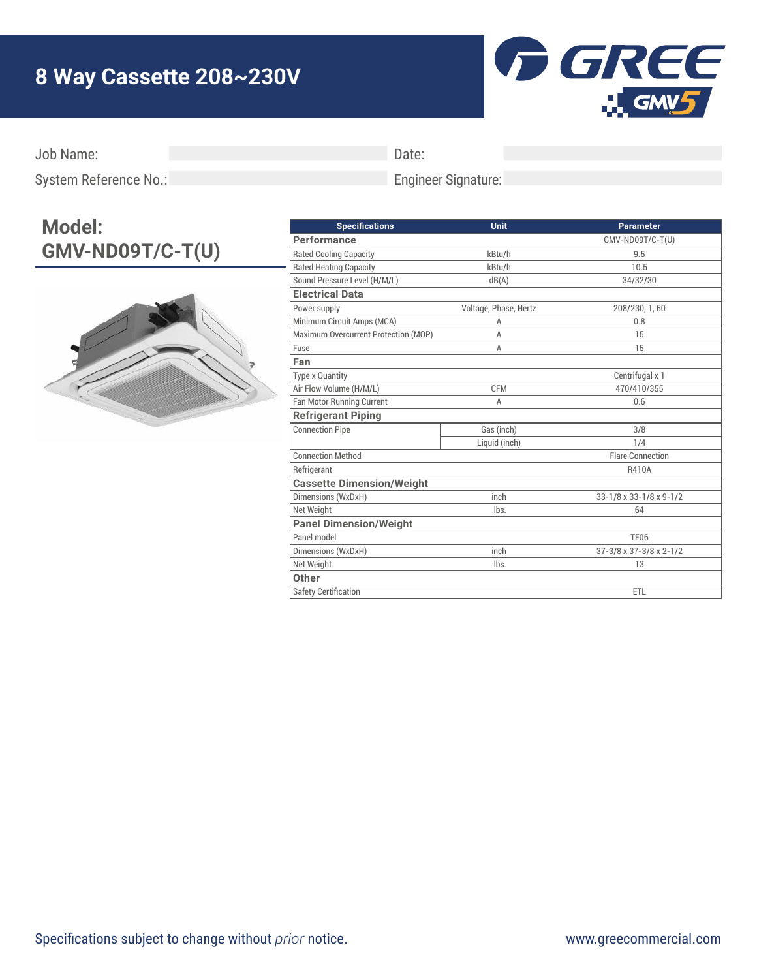## **8 Way Cassette 208~230V**



Job Name:

Date:

Engineer Signature:

System Reference No.:

## **Model: GMV-ND09T/C-T(U)**



| <b>Specifications</b>                | Unit                  | <b>Parameter</b>        |
|--------------------------------------|-----------------------|-------------------------|
| Performance                          |                       | GMV-ND09T/C-T(U)        |
| <b>Rated Cooling Capacity</b>        | kBtu/h                | 9.5                     |
| <b>Rated Heating Capacity</b>        | kBtu/h                | 10.5                    |
| Sound Pressure Level (H/M/L)         | dB(A)                 | 34/32/30                |
| <b>Electrical Data</b>               |                       |                         |
| Power supply                         | Voltage, Phase, Hertz | 208/230, 1, 60          |
| Minimum Circuit Amps (MCA)           | A                     | 0.8                     |
| Maximum Overcurrent Protection (MOP) | A                     | 15                      |
| Fuse                                 | A                     | 15                      |
| Fan                                  |                       |                         |
| <b>Type x Quantity</b>               |                       | Centrifugal x 1         |
| Air Flow Volume (H/M/L)              | <b>CFM</b>            | 470/410/355             |
| Fan Motor Running Current            | A                     | 0.6                     |
| <b>Refrigerant Piping</b>            |                       |                         |
| <b>Connection Pipe</b>               | Gas (inch)            | 3/8                     |
|                                      | Liquid (inch)         | 1/4                     |
| <b>Connection Method</b>             |                       | <b>Flare Connection</b> |
| Refrigerant                          |                       | R410A                   |
| <b>Cassette Dimension/Weight</b>     |                       |                         |
| Dimensions (WxDxH)                   | inch                  | 33-1/8 x 33-1/8 x 9-1/2 |
| Net Weight                           | lbs.                  | 64                      |
| <b>Panel Dimension/Weight</b>        |                       |                         |
| Panel model                          |                       | <b>TF06</b>             |
| Dimensions (WxDxH)                   | inch                  | 37-3/8 x 37-3/8 x 2-1/2 |
| Net Weight                           | lbs.                  | 13                      |
| Other                                |                       |                         |
| <b>Safety Certification</b>          |                       | ETL                     |